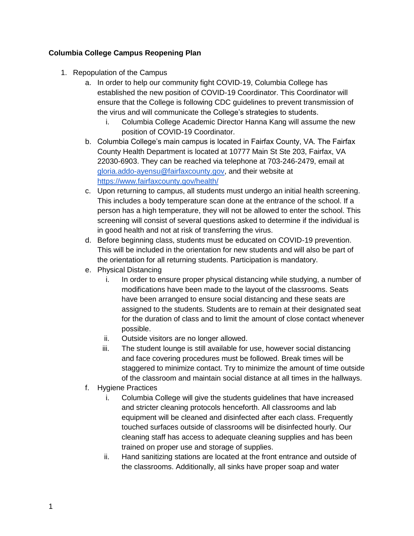## **Columbia College Campus Reopening Plan**

- 1. Repopulation of the Campus
	- a. In order to help our community fight COVID-19, Columbia College has established the new position of COVID-19 Coordinator. This Coordinator will ensure that the College is following CDC guidelines to prevent transmission of the virus and will communicate the College's strategies to students.
		- i. Columbia College Academic Director Hanna Kang will assume the new position of COVID-19 Coordinator.
	- b. Columbia College's main campus is located in Fairfax County, VA. The Fairfax County Health Department is located at 10777 Main St Ste 203, Fairfax, VA 22030-6903. They can be reached via telephone at 703-246-2479, email at [gloria.addo-ayensu@fairfaxcounty.gov,](mailto:gloria.addo-ayensu@fairfaxcounty.gov) and their website at <https://www.fairfaxcounty.gov/health/>
	- c. Upon returning to campus, all students must undergo an initial health screening. This includes a body temperature scan done at the entrance of the school. If a person has a high temperature, they will not be allowed to enter the school. This screening will consist of several questions asked to determine if the individual is in good health and not at risk of transferring the virus.
	- d. Before beginning class, students must be educated on COVID-19 prevention. This will be included in the orientation for new students and will also be part of the orientation for all returning students. Participation is mandatory.
	- e. Physical Distancing
		- i. In order to ensure proper physical distancing while studying, a number of modifications have been made to the layout of the classrooms. Seats have been arranged to ensure social distancing and these seats are assigned to the students. Students are to remain at their designated seat for the duration of class and to limit the amount of close contact whenever possible.
		- ii. Outside visitors are no longer allowed.
		- iii. The student lounge is still available for use, however social distancing and face covering procedures must be followed. Break times will be staggered to minimize contact. Try to minimize the amount of time outside of the classroom and maintain social distance at all times in the hallways.
	- f. Hygiene Practices
		- i. Columbia College will give the students guidelines that have increased and stricter cleaning protocols henceforth. All classrooms and lab equipment will be cleaned and disinfected after each class. Frequently touched surfaces outside of classrooms will be disinfected hourly. Our cleaning staff has access to adequate cleaning supplies and has been trained on proper use and storage of supplies.
		- ii. Hand sanitizing stations are located at the front entrance and outside of the classrooms. Additionally, all sinks have proper soap and water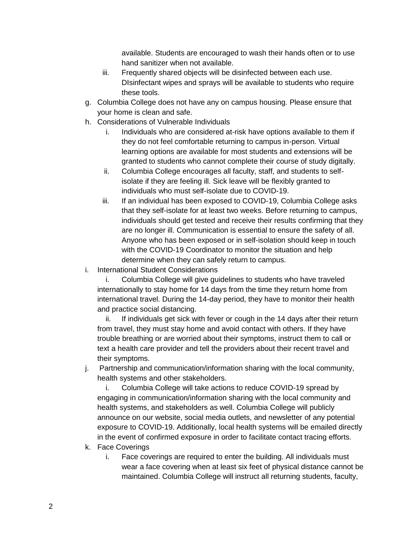available. Students are encouraged to wash their hands often or to use hand sanitizer when not available.

- iii. Frequently shared objects will be disinfected between each use. DIsinfectant wipes and sprays will be available to students who require these tools.
- g. Columbia College does not have any on campus housing. Please ensure that your home is clean and safe.
- h. Considerations of Vulnerable Individuals
	- i. Individuals who are considered at-risk have options available to them if they do not feel comfortable returning to campus in-person. Virtual learning options are available for most students and extensions will be granted to students who cannot complete their course of study digitally.
	- ii. Columbia College encourages all faculty, staff, and students to selfisolate if they are feeling ill. Sick leave will be flexibly granted to individuals who must self-isolate due to COVID-19.
	- iii. If an individual has been exposed to COVID-19, Columbia College asks that they self-isolate for at least two weeks. Before returning to campus, individuals should get tested and receive their results confirming that they are no longer ill. Communication is essential to ensure the safety of all. Anyone who has been exposed or in self-isolation should keep in touch with the COVID-19 Coordinator to monitor the situation and help determine when they can safely return to campus.
- i. International Student Considerations

 i. Columbia College will give guidelines to students who have traveled internationally to stay home for 14 days from the time they return home from international travel. During the 14-day period, they have to monitor their health and practice social distancing.

 ii. If individuals get sick with fever or cough in the 14 days after their return from travel, they must stay home and avoid contact with others. If they have trouble breathing or are worried about their symptoms, instruct them to call or text a health care provider and tell the providers about their recent travel and their symptoms.

j. Partnership and communication/information sharing with the local community, health systems and other stakeholders.

 i. Columbia College will take actions to reduce COVID-19 spread by engaging in communication/information sharing with the local community and health systems, and stakeholders as well. Columbia College will publicly announce on our website, social media outlets, and newsletter of any potential exposure to COVID-19. Additionally, local health systems will be emailed directly in the event of confirmed exposure in order to facilitate contact tracing efforts.

- k. Face Coverings
	- i. Face coverings are required to enter the building. All individuals must wear a face covering when at least six feet of physical distance cannot be maintained. Columbia College will instruct all returning students, faculty,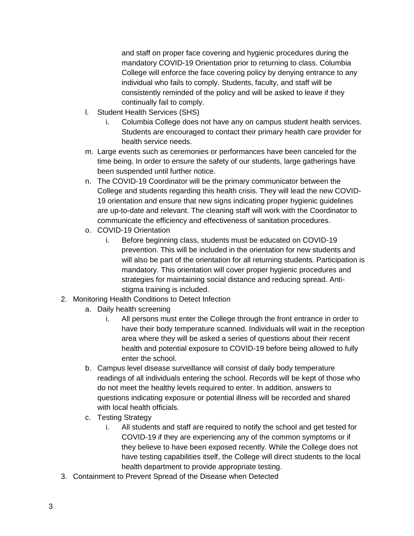and staff on proper face covering and hygienic procedures during the mandatory COVID-19 Orientation prior to returning to class. Columbia College will enforce the face covering policy by denying entrance to any individual who fails to comply. Students, faculty, and staff will be consistently reminded of the policy and will be asked to leave if they continually fail to comply.

- l. Student Health Services (SHS)
	- i. Columbia College does not have any on campus student health services. Students are encouraged to contact their primary health care provider for health service needs.
- m. Large events such as ceremonies or performances have been canceled for the time being. In order to ensure the safety of our students, large gatherings have been suspended until further notice.
- n. The COVID-19 Coordinator will be the primary communicator between the College and students regarding this health crisis. They will lead the new COVID-19 orientation and ensure that new signs indicating proper hygienic guidelines are up-to-date and relevant. The cleaning staff will work with the Coordinator to communicate the efficiency and effectiveness of sanitation procedures.
- o. COVID-19 Orientation
	- i. Before beginning class, students must be educated on COVID-19 prevention. This will be included in the orientation for new students and will also be part of the orientation for all returning students. Participation is mandatory. This orientation will cover proper hygienic procedures and strategies for maintaining social distance and reducing spread. Antistigma training is included.
- 2. Monitoring Health Conditions to Detect Infection
	- a. Daily health screening
		- i. All persons must enter the College through the front entrance in order to have their body temperature scanned. Individuals will wait in the reception area where they will be asked a series of questions about their recent health and potential exposure to COVID-19 before being allowed to fully enter the school.
	- b. Campus level disease surveillance will consist of daily body temperature readings of all individuals entering the school. Records will be kept of those who do not meet the healthy levels required to enter. In addition, answers to questions indicating exposure or potential illness will be recorded and shared with local health officials.
	- c. Testing Strategy
		- i. All students and staff are required to notify the school and get tested for COVID-19 if they are experiencing any of the common symptoms or if they believe to have been exposed recently. While the College does not have testing capabilities itself, the College will direct students to the local health department to provide appropriate testing.
- 3. Containment to Prevent Spread of the Disease when Detected